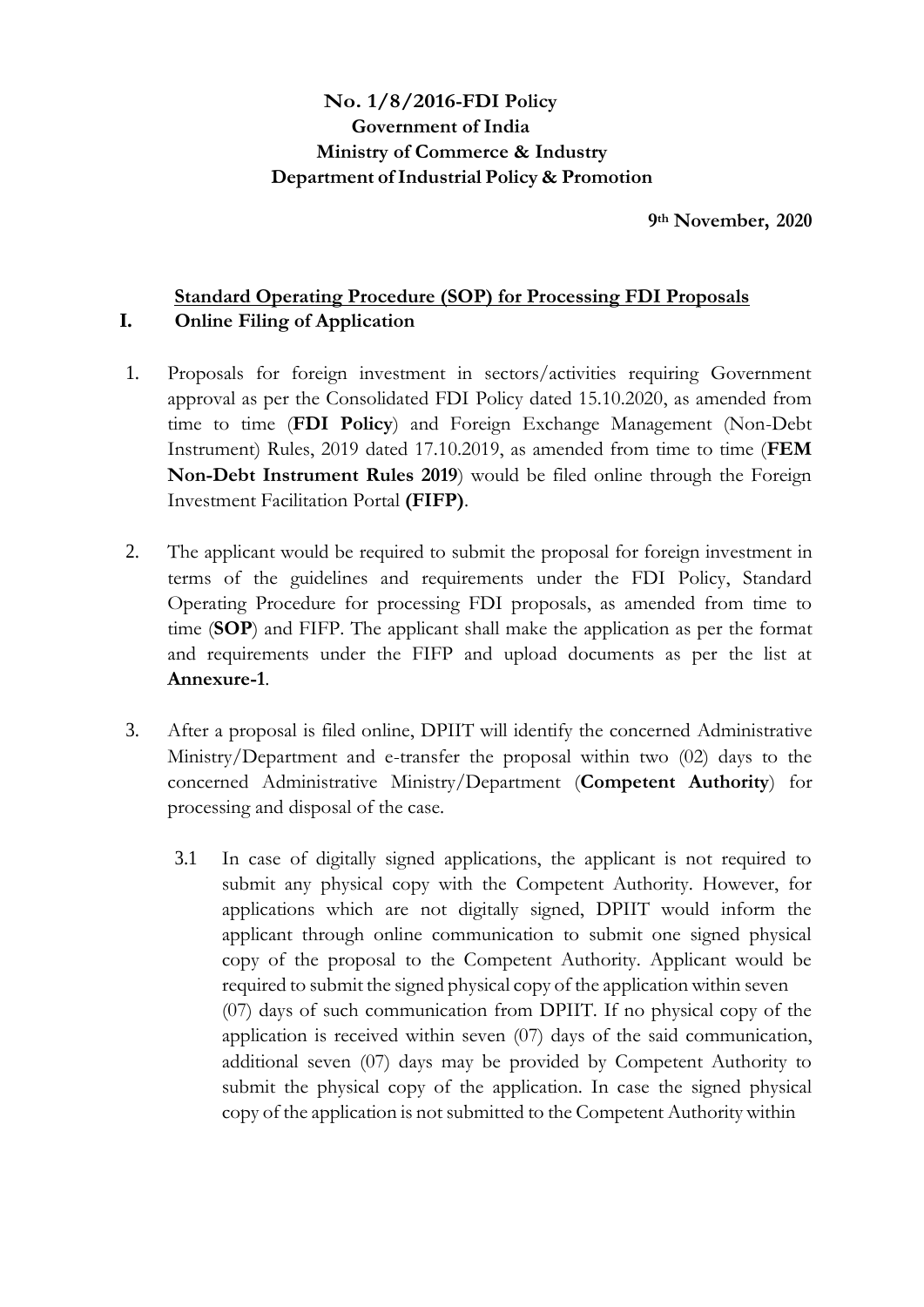# **No. 1/8/2016-FDI Policy Government of India Ministry of Commerce & Industry Department ofIndustrial Policy & Promotion**

**9th November, 2020**

# **Standard Operating Procedure (SOP) for Processing FDI Proposals I. Online Filing of Application**

- 1. Proposals for foreign investment in sectors/activities requiring Government approval as per the Consolidated FDI Policy dated 15.10.2020, as amended from time to time (**FDI Policy**) and Foreign Exchange Management (Non-Debt Instrument) Rules, 2019 dated 17.10.2019, as amended from time to time (**FEM Non-Debt Instrument Rules 2019**) would be filed online through the Foreign Investment Facilitation Portal **(FIFP)**.
- 2. The applicant would be required to submit the proposal for foreign investment in terms of the guidelines and requirements under the FDI Policy, Standard Operating Procedure for processing FDI proposals, as amended from time to time (**SOP**) and FIFP. The applicant shall make the application as per the format and requirements under the FIFP and upload documents as per the list at **Annexure-1**.
- 3. After a proposal is filed online, DPIIT will identify the concerned Administrative Ministry/Department and e-transfer the proposal within two (02) days to the concerned Administrative Ministry/Department (**Competent Authority**) for processing and disposal of the case.
	- 3.1 In case of digitally signed applications, the applicant is not required to submit any physical copy with the Competent Authority. However, for applications which are not digitally signed, DPIIT would inform the applicant through online communication to submit one signed physical copy of the proposal to the Competent Authority. Applicant would be required to submit the signed physical copy of the application within seven (07) days of such communication from DPIIT. If no physical copy of the application is received within seven (07) days of the said communication, additional seven (07) days may be provided by Competent Authority to submit the physical copy of the application. In case the signed physical copy of the application is not submitted to the Competent Authority within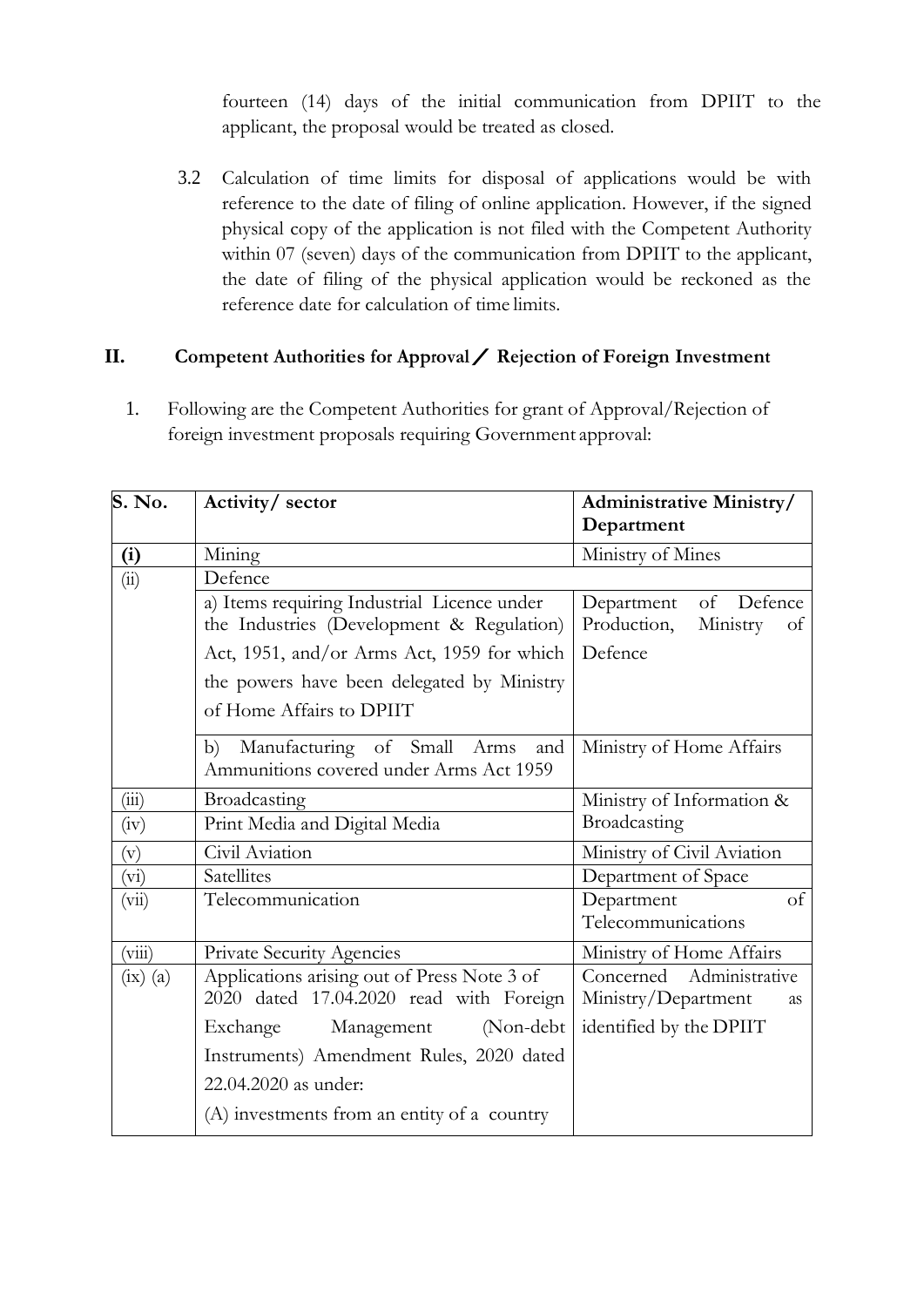fourteen (14) days of the initial communication from DPIIT to the applicant, the proposal would be treated as closed.

3.2 Calculation of time limits for disposal of applications would be with reference to the date of filing of online application. However, if the signed physical copy of the application is not filed with the Competent Authority within 07 (seven) days of the communication from DPIIT to the applicant, the date of filing of the physical application would be reckoned as the reference date for calculation of time limits.

## **II. Competent Authorities for Approval/ Rejection of Foreign Investment**

1. Following are the Competent Authorities for grant of Approval/Rejection of foreign investment proposals requiring Government approval:

| S. No.       | Activity/ sector                                                                         | <b>Administrative Ministry/</b><br>Department             |
|--------------|------------------------------------------------------------------------------------------|-----------------------------------------------------------|
| (i)          | Mining                                                                                   | Ministry of Mines                                         |
| (ii)         | Defence                                                                                  |                                                           |
|              | a) Items requiring Industrial Licence under<br>the Industries (Development & Regulation) | of Defence<br>Department<br>Production,<br>Ministry<br>of |
|              | Act, 1951, and/or Arms Act, 1959 for which                                               | Defence                                                   |
|              | the powers have been delegated by Ministry                                               |                                                           |
|              | of Home Affairs to DPIIT                                                                 |                                                           |
|              | b) Manufacturing of Small Arms<br>and<br>Ammunitions covered under Arms Act 1959         | Ministry of Home Affairs                                  |
| (iii)        | Broadcasting                                                                             | Ministry of Information &                                 |
| (iv)         | Print Media and Digital Media                                                            | Broadcasting                                              |
| (v)          | Civil Aviation                                                                           | Ministry of Civil Aviation                                |
| (vi)         | Satellites                                                                               | Department of Space                                       |
| (vii)        | Telecommunication                                                                        | Department<br><sub>of</sub>                               |
|              |                                                                                          | Telecommunications                                        |
| (viii)       | Private Security Agencies                                                                | Ministry of Home Affairs                                  |
| $(ix)$ $(a)$ | Applications arising out of Press Note 3 of<br>2020 dated 17.04.2020 read with Foreign   | Concerned Administrative<br>Ministry/Department<br>as     |
|              | (Non-debt<br>Exchange<br>Management                                                      | identified by the DPIIT                                   |
|              | Instruments) Amendment Rules, 2020 dated                                                 |                                                           |
|              | 22.04.2020 as under:                                                                     |                                                           |
|              | (A) investments from an entity of a country                                              |                                                           |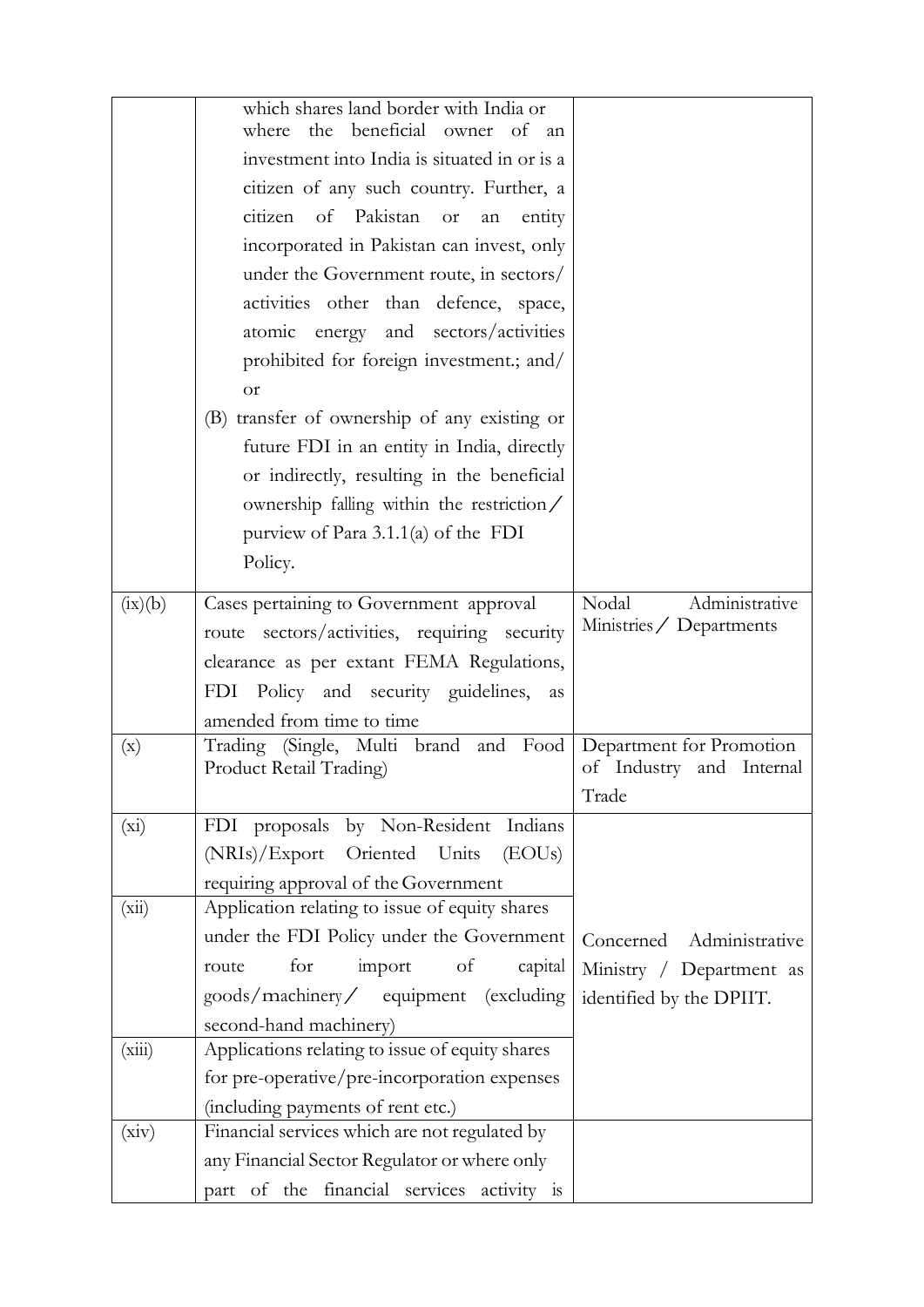|                | which shares land border with India or<br>beneficial owner of an<br>where<br>the       |                                                      |
|----------------|----------------------------------------------------------------------------------------|------------------------------------------------------|
|                | investment into India is situated in or is a                                           |                                                      |
|                | citizen of any such country. Further, a                                                |                                                      |
|                | citizen of Pakistan<br>or<br>entity<br>an                                              |                                                      |
|                | incorporated in Pakistan can invest, only                                              |                                                      |
|                | under the Government route, in sectors/                                                |                                                      |
|                | activities other than defence, space,                                                  |                                                      |
|                | atomic energy and sectors/activities                                                   |                                                      |
|                | prohibited for foreign investment.; and/                                               |                                                      |
|                | <b>or</b>                                                                              |                                                      |
|                | (B) transfer of ownership of any existing or                                           |                                                      |
|                | future FDI in an entity in India, directly                                             |                                                      |
|                | or indirectly, resulting in the beneficial                                             |                                                      |
|                | ownership falling within the restriction/                                              |                                                      |
|                | purview of Para $3.1.1(a)$ of the FDI                                                  |                                                      |
|                | Policy.                                                                                |                                                      |
|                |                                                                                        |                                                      |
| (ix)(b)        | Cases pertaining to Government approval                                                | Nodal<br>Administrative                              |
|                | route sectors/activities, requiring security                                           | Ministries / Departments                             |
|                | clearance as per extant FEMA Regulations,                                              |                                                      |
|                | Policy and security guidelines,<br>FDI<br>as                                           |                                                      |
|                | amended from time to time                                                              |                                                      |
| $(\mathbf{x})$ | (Single,<br>Multi brand and<br>Trading<br>Food                                         | Department for Promotion<br>of Industry and Internal |
|                | Product Retail Trading)                                                                | Trade                                                |
|                | FDI proposals by Non-Resident Indians                                                  |                                                      |
| $(x_i)$        | (NRIs)/Export<br>Oriented Units<br>(EOUs)                                              |                                                      |
|                |                                                                                        |                                                      |
| (xii)          | requiring approval of the Government<br>Application relating to issue of equity shares |                                                      |
|                | under the FDI Policy under the Government                                              | Concerned Administrative                             |
|                | for<br>import<br>of<br>capital<br>route                                                | Ministry / Department as                             |
|                | goods/machinery/ equipment (excluding                                                  | identified by the DPIIT.                             |
|                | second-hand machinery)                                                                 |                                                      |
| (xiii)         | Applications relating to issue of equity shares                                        |                                                      |
|                | for pre-operative/pre-incorporation expenses                                           |                                                      |
|                | (including payments of rent etc.)                                                      |                                                      |
| (xiv)          | Financial services which are not regulated by                                          |                                                      |
|                | any Financial Sector Regulator or where only                                           |                                                      |
|                | of the financial services activity is<br>part                                          |                                                      |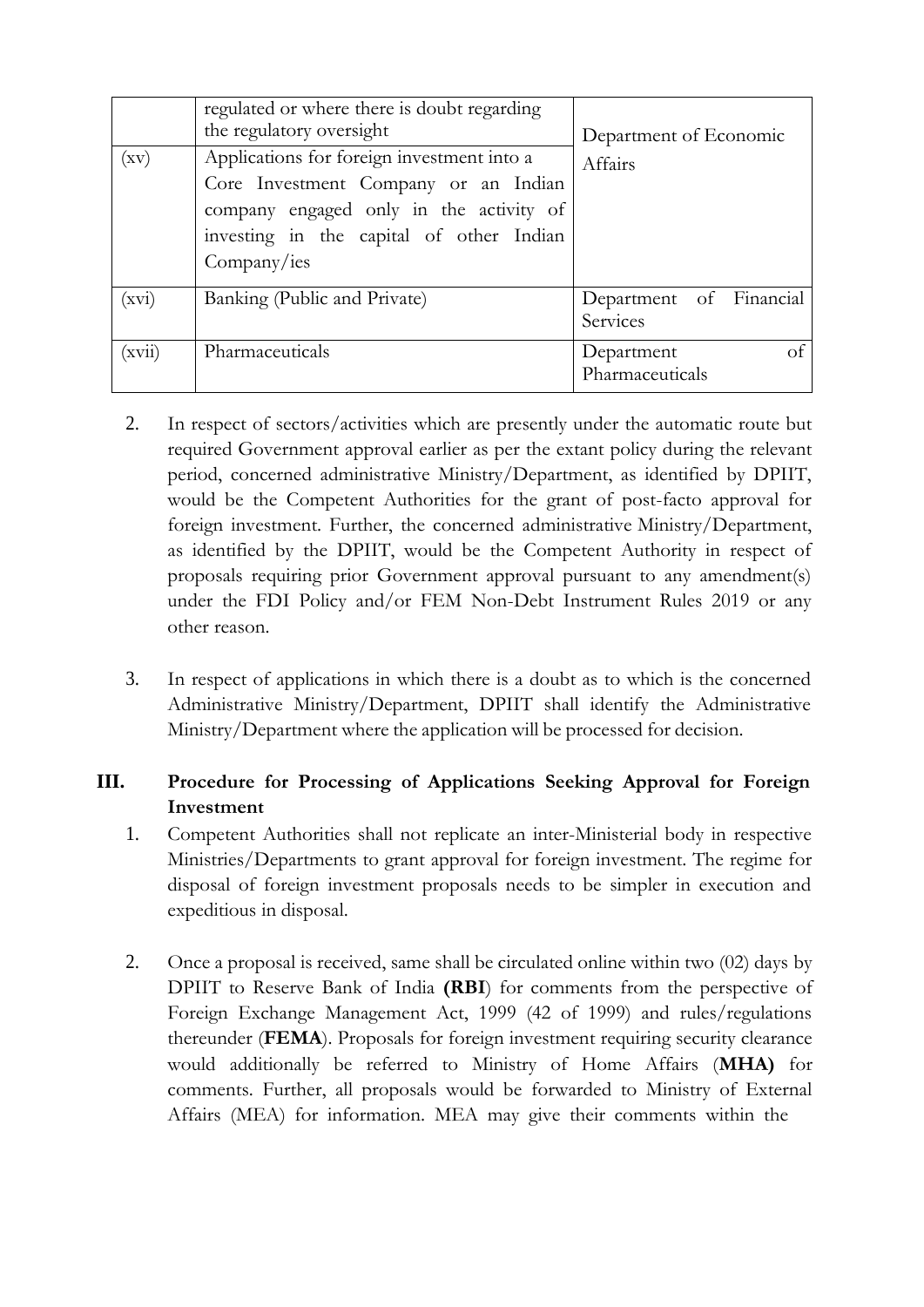| (xv)   | regulated or where there is doubt regarding<br>the regulatory oversight<br>Applications for foreign investment into a<br>Core Investment Company or an Indian<br>company engaged only in the activity of<br>investing in the capital of other Indian<br>Company/ies | Department of Economic<br>Affairs   |
|--------|---------------------------------------------------------------------------------------------------------------------------------------------------------------------------------------------------------------------------------------------------------------------|-------------------------------------|
| (xvi)  | Banking (Public and Private)                                                                                                                                                                                                                                        | Department of Financial<br>Services |
| (xvii) | Pharmaceuticals                                                                                                                                                                                                                                                     | Department<br>οt<br>Pharmaceuticals |

- 2. In respect of sectors/activities which are presently under the automatic route but required Government approval earlier as per the extant policy during the relevant period, concerned administrative Ministry/Department, as identified by DPIIT, would be the Competent Authorities for the grant of post-facto approval for foreign investment. Further, the concerned administrative Ministry/Department, as identified by the DPIIT, would be the Competent Authority in respect of proposals requiring prior Government approval pursuant to any amendment(s) under the FDI Policy and/or FEM Non-Debt Instrument Rules 2019 or any other reason.
- 3. In respect of applications in which there is a doubt as to which is the concerned Administrative Ministry/Department, DPIIT shall identify the Administrative Ministry/Department where the application will be processed for decision.

# **III. Procedure for Processing of Applications Seeking Approval for Foreign Investment**

- 1. Competent Authorities shall not replicate an inter-Ministerial body in respective Ministries/Departments to grant approval for foreign investment. The regime for disposal of foreign investment proposals needs to be simpler in execution and expeditious in disposal.
- 2. Once a proposal is received, same shall be circulated online within two (02) days by DPIIT to Reserve Bank of India **(RBI**) for comments from the perspective of Foreign Exchange Management Act, 1999 (42 of 1999) and rules/regulations thereunder (**FEMA**). Proposals for foreign investment requiring security clearance would additionally be referred to Ministry of Home Affairs (**MHA)** for comments. Further, all proposals would be forwarded to Ministry of External Affairs (MEA) for information. MEA may give their comments within the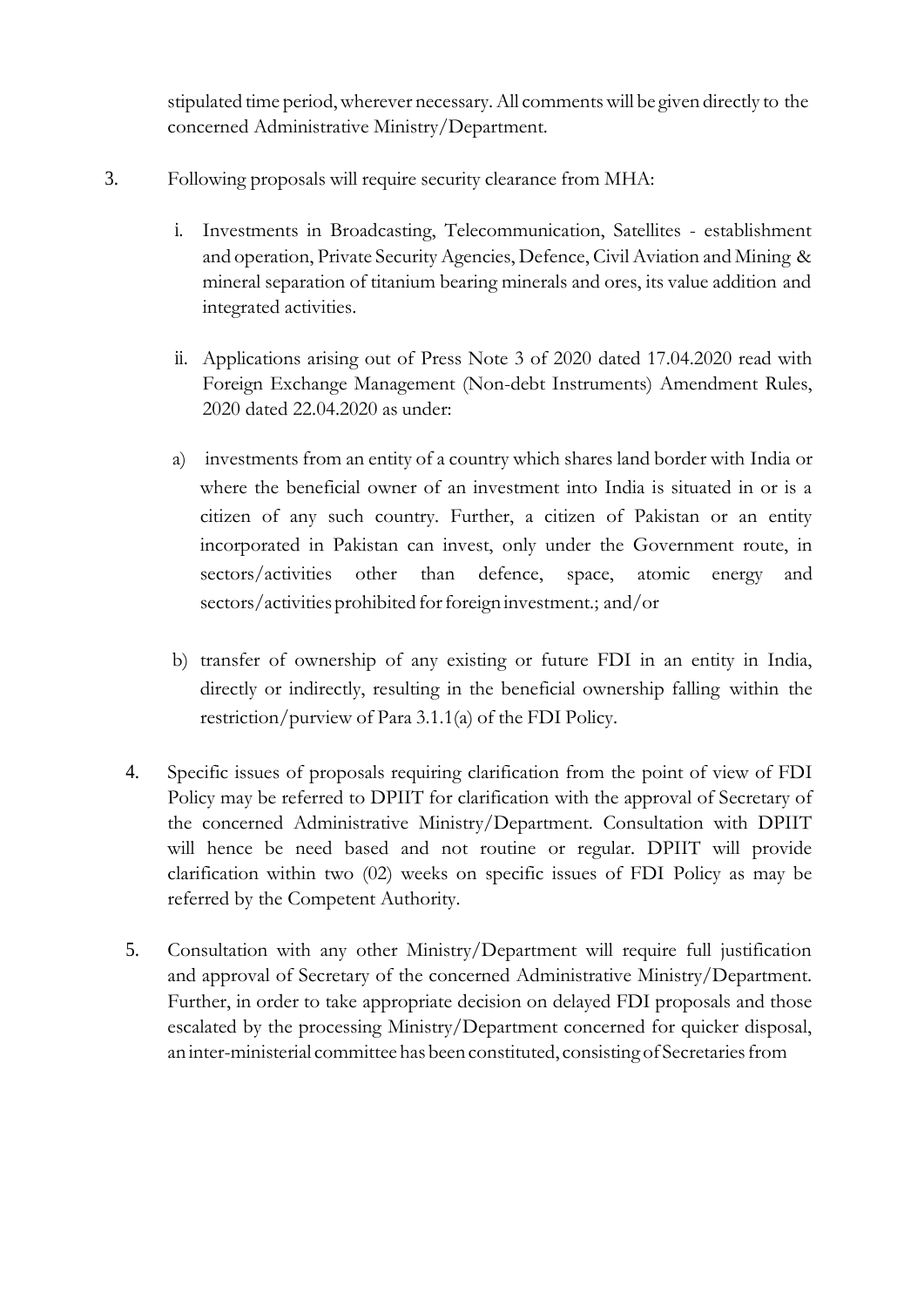stipulated time period,wherever necessary.All commentswill be given directly to the concerned Administrative Ministry/Department.

- 3. Following proposals will require security clearance from MHA:
	- i. Investments in Broadcasting, Telecommunication, Satellites establishment and operation, Private Security Agencies, Defence, Civil Aviation and Mining & mineral separation of titanium bearing minerals and ores, its value addition and integrated activities.
	- ii. Applications arising out of Press Note 3 of 2020 dated 17.04.2020 read with Foreign Exchange Management (Non-debt Instruments) Amendment Rules, 2020 dated 22.04.2020 as under:
	- a) investments from an entity of a country which shares land border with India or where the beneficial owner of an investment into India is situated in or is a citizen of any such country. Further, a citizen of Pakistan or an entity incorporated in Pakistan can invest, only under the Government route, in sectors/activities other than defence, space, atomic energy and sectors/activities prohibited for foreign investment.; and/or
	- b) transfer of ownership of any existing or future FDI in an entity in India, directly or indirectly, resulting in the beneficial ownership falling within the restriction/purview of Para 3.1.1(a) of the FDI Policy.
	- 4. Specific issues of proposals requiring clarification from the point of view of FDI Policy may be referred to DPIIT for clarification with the approval of Secretary of the concerned Administrative Ministry/Department. Consultation with DPIIT will hence be need based and not routine or regular. DPIIT will provide clarification within two (02) weeks on specific issues of FDI Policy as may be referred by the Competent Authority.
	- 5. Consultation with any other Ministry/Department will require full justification and approval of Secretary of the concerned Administrative Ministry/Department. Further, in order to take appropriate decision on delayed FDI proposals and those escalated by the processing Ministry/Department concerned for quicker disposal, an inter-ministerial committee has been constituted, consisting of Secretariesfrom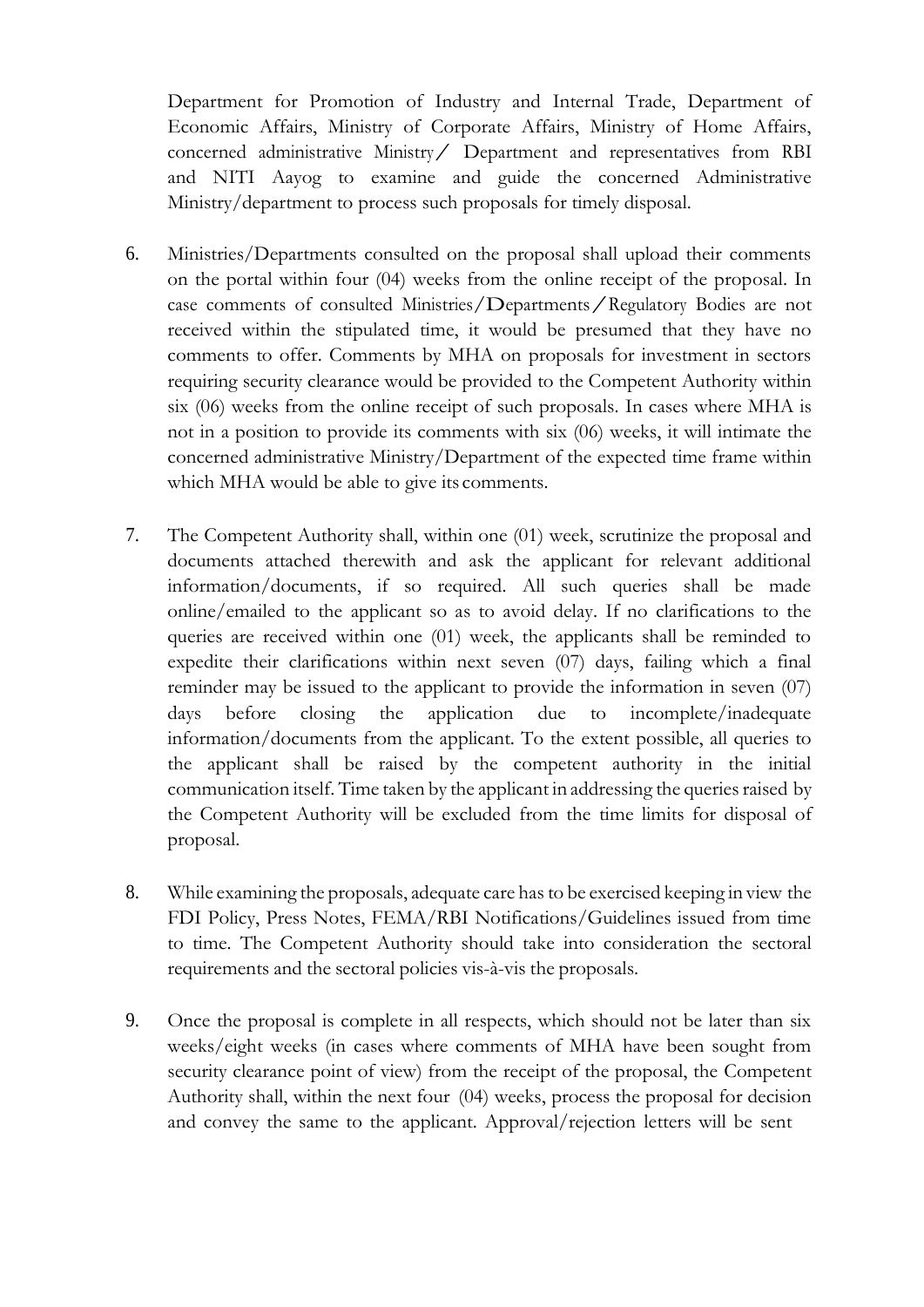Department for Promotion of Industry and Internal Trade, Department of Economic Affairs, Ministry of Corporate Affairs, Ministry of Home Affairs, concerned administrative Ministry/ Department and representatives from RBI and NITI Aayog to examine and guide the concerned Administrative Ministry/department to process such proposals for timely disposal.

- 6. Ministries/Departments consulted on the proposal shall upload their comments on the portal within four (04) weeks from the online receipt of the proposal. In case comments of consulted Ministries/Departments/Regulatory Bodies are not received within the stipulated time, it would be presumed that they have no comments to offer. Comments by MHA on proposals for investment in sectors requiring security clearance would be provided to the Competent Authority within six (06) weeks from the online receipt of such proposals. In cases where MHA is not in a position to provide its comments with six (06) weeks, it will intimate the concerned administrative Ministry/Department of the expected time frame within which MHA would be able to give its comments.
- 7. The Competent Authority shall, within one (01) week, scrutinize the proposal and documents attached therewith and ask the applicant for relevant additional information/documents, if so required. All such queries shall be made online/emailed to the applicant so as to avoid delay. If no clarifications to the queries are received within one (01) week, the applicants shall be reminded to expedite their clarifications within next seven (07) days, failing which a final reminder may be issued to the applicant to provide the information in seven (07) days before closing the application due to incomplete/inadequate information/documents from the applicant. To the extent possible, all queries to the applicant shall be raised by the competent authority in the initial communication itself. Time taken by the applicant in addressing the queries raised by the Competent Authority will be excluded from the time limits for disposal of proposal.
- 8. While examining the proposals, adequate care hasto be exercised keeping in view the FDI Policy, Press Notes, FEMA/RBI Notifications/Guidelines issued from time to time. The Competent Authority should take into consideration the sectoral requirements and the sectoral policies vis-à-vis the proposals.
- 9. Once the proposal is complete in all respects, which should not be later than six weeks/eight weeks (in cases where comments of MHA have been sought from security clearance point of view) from the receipt of the proposal, the Competent Authority shall, within the next four (04) weeks, process the proposal for decision and convey the same to the applicant. Approval/rejection letters will be sent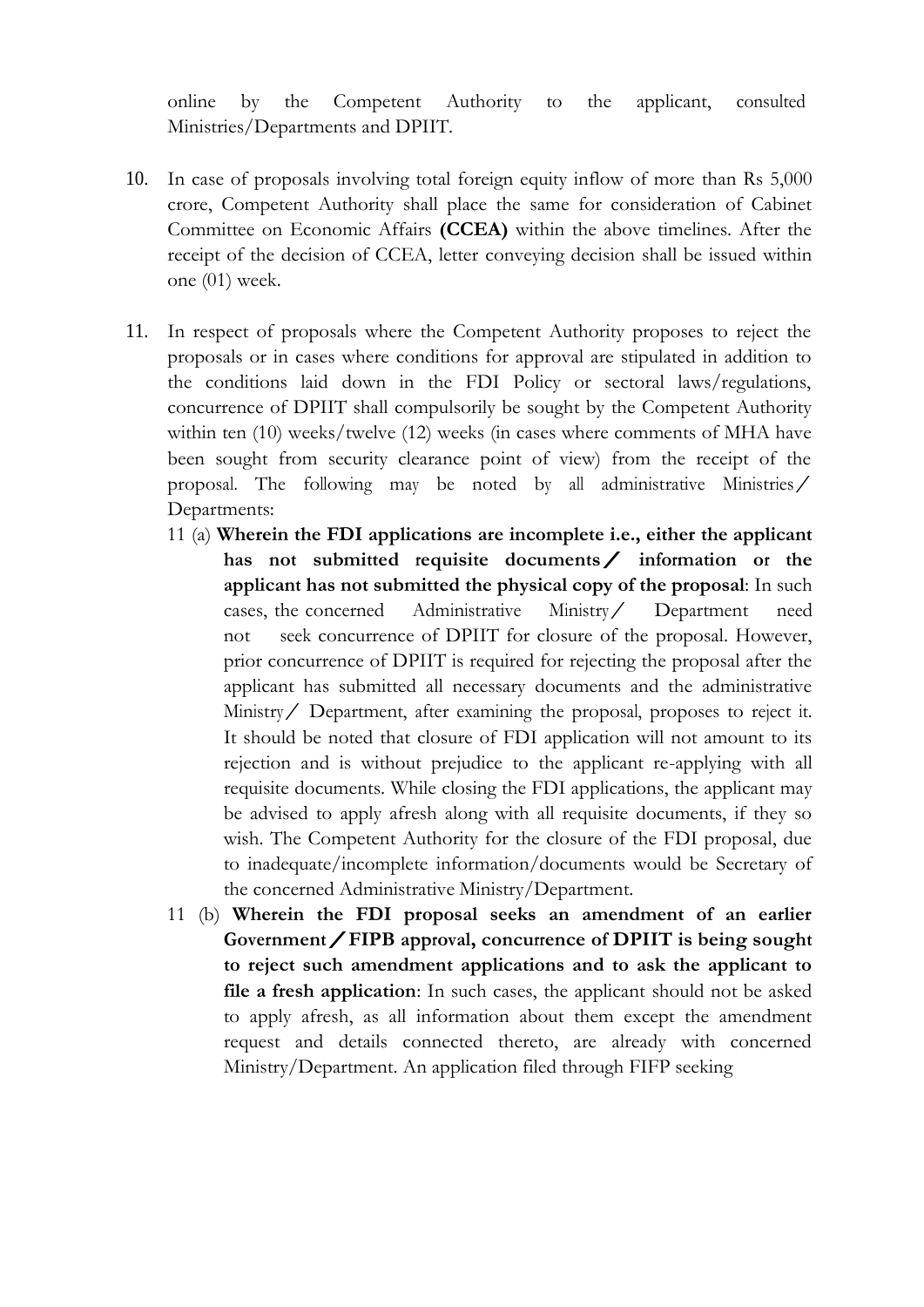online by the Competent Authority to the applicant, consulted Ministries/Departments and DPIIT.

- 10. In case of proposals involving total foreign equity inflow of more than Rs 5,000 crore, Competent Authority shall place the same for consideration of Cabinet Committee on Economic Affairs **(CCEA)** within the above timelines. After the receipt of the decision of CCEA, letter conveying decision shall be issued within one (01) week.
- 11. In respect of proposals where the Competent Authority proposes to reject the proposals or in cases where conditions for approval are stipulated in addition to the conditions laid down in the FDI Policy or sectoral laws/regulations, concurrence of DPIIT shall compulsorily be sought by the Competent Authority within ten (10) weeks/twelve (12) weeks (in cases where comments of MHA have been sought from security clearance point of view) from the receipt of the proposal. The following may be noted by all administrative Ministries/ Departments:
	- 11 (a) **Wherein the FDI applications are incomplete i.e., either the applicant has not submitted requisite documents/ information or the applicant has not submitted the physical copy of the proposal**: In such cases, the concerned Administrative Ministry/ Department need not seek concurrence of DPIIT for closure of the proposal. However, prior concurrence of DPIIT is required for rejecting the proposal after the applicant has submitted all necessary documents and the administrative Ministry/ Department, after examining the proposal, proposes to reject it. It should be noted that closure of FDI application will not amount to its rejection and is without prejudice to the applicant re-applying with all requisite documents. While closing the FDI applications, the applicant may be advised to apply afresh along with all requisite documents, if they so wish. The Competent Authority for the closure of the FDI proposal, due to inadequate/incomplete information/documents would be Secretary of the concerned Administrative Ministry/Department.
	- 11 (b) **Wherein the FDI proposal seeks an amendment of an earlier Government/FIPB approval, concurrence of DPIIT is being sought to reject such amendment applications and to ask the applicant to file a fresh application**: In such cases, the applicant should not be asked to apply afresh, as all information about them except the amendment request and details connected thereto, are already with concerned Ministry/Department. An application filed through FIFP seeking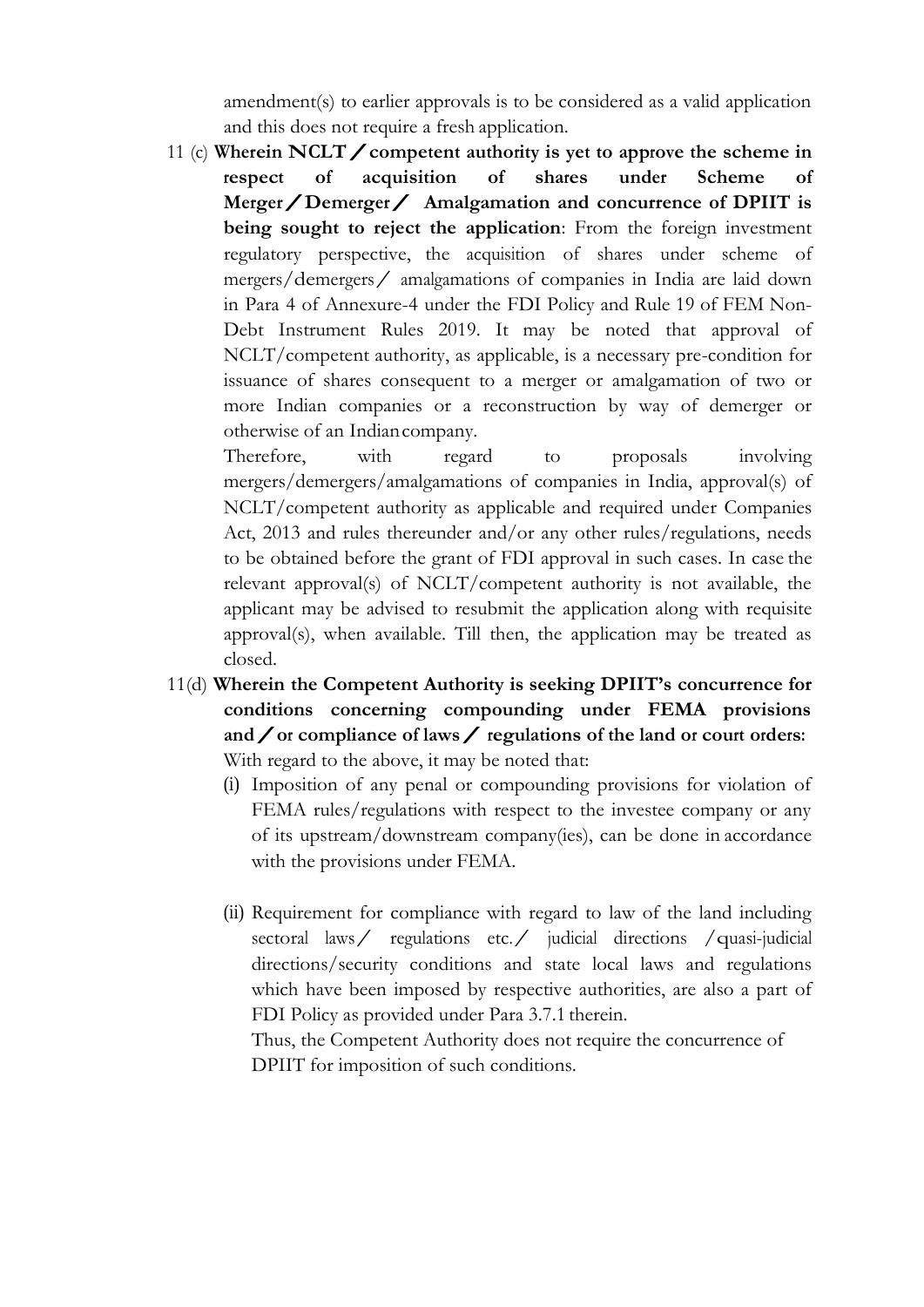amendment(s) to earlier approvals is to be considered as a valid application and this does not require a fresh application.

11 (c) **Wherein NCLT** / competent authority is yet to approve the scheme in respect of acquisition of shares under Scheme of  $rac{1}{x}$  **acquisition Merger/Demerger/ Amalgamation and concurrence of DPIIT is being sought to reject the application**: From the foreign investment regulatory perspective, the acquisition of shares under scheme of mergers/demergers/ amalgamations of companies in India are laid down in Para 4 of Annexure-4 under the FDI Policy and Rule 19 of FEM Non-Debt Instrument Rules 2019. It may be noted that approval of NCLT/competent authority, as applicable, is a necessary pre-condition for issuance of shares consequent to a merger or amalgamation of two or more Indian companies or a reconstruction by way of demerger or otherwise of an Indiancompany.

Therefore, with regard to proposals involving mergers/demergers/amalgamations of companies in India, approval(s) of NCLT/competent authority as applicable and required under Companies Act, 2013 and rules thereunder and/or any other rules/regulations, needs to be obtained before the grant of FDI approval in such cases. In case the relevant approval(s) of NCLT/competent authority is not available, the applicant may be advised to resubmit the application along with requisite approval(s), when available. Till then, the application may be treated as closed.

- 11(d) **Wherein the Competent Authority is seeking DPIIT's concurrence for conditions concerning compounding under FEMA provisions and/or compliance of laws/regulations of the land or court orders:** With regard to the above, it may be noted that:
	- (i) Imposition of any penal or compounding provisions for violation of FEMA rules/regulations with respect to the investee company or any of its upstream/downstream company(ies), can be done in accordance with the provisions under FEMA.
	- (ii) Requirement for compliance with regard to law of the land including sectoral laws/ regulations etc./ judicial directions /quasi-judicial directions/security conditions and state local laws and regulations which have been imposed by respective authorities, are also a part of FDI Policy as provided under Para 3.7.1 therein.

Thus, the Competent Authority does not require the concurrence of DPIIT for imposition of such conditions.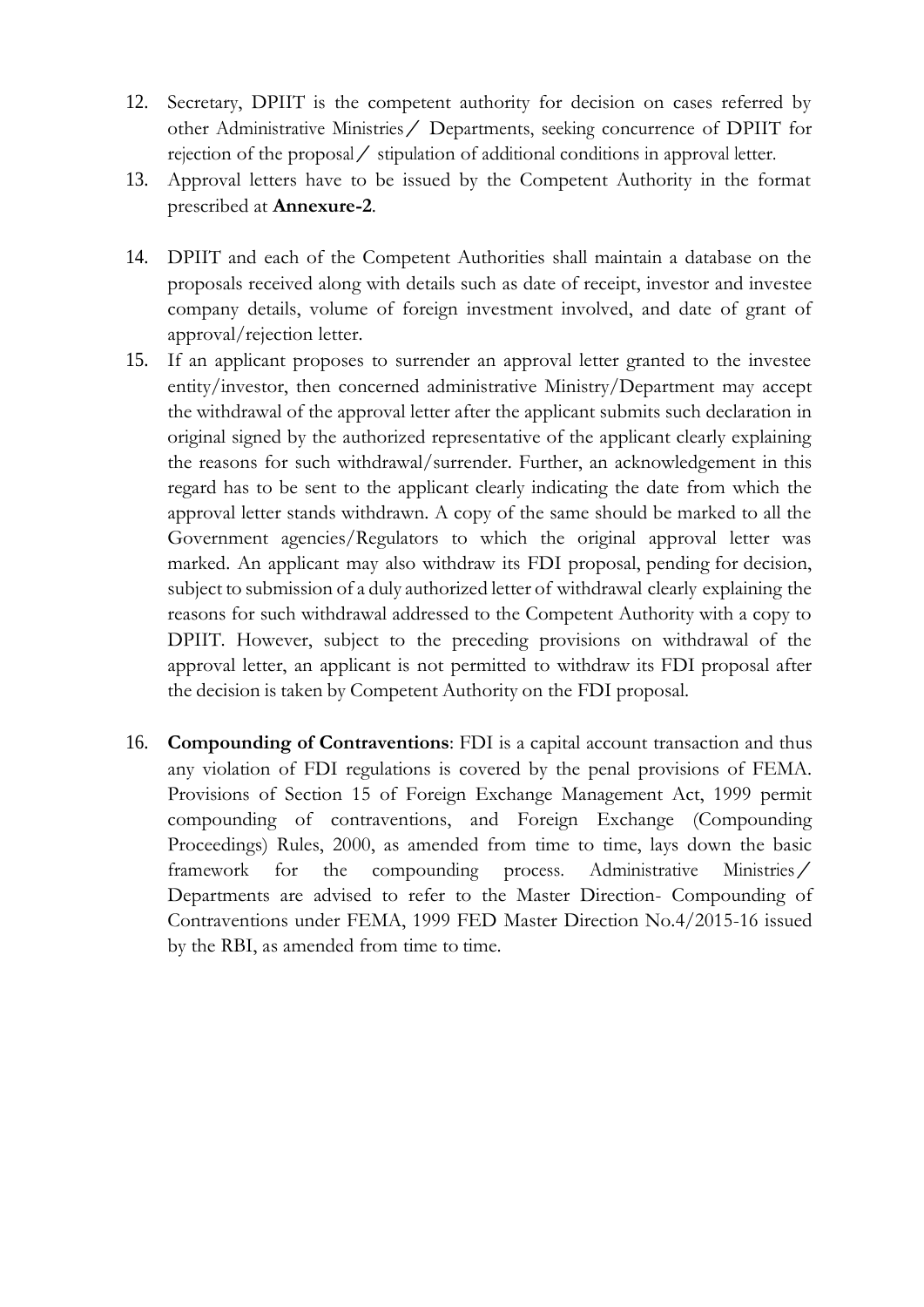- 12. Secretary, DPIIT is the competent authority for decision on cases referred by other Administrative Ministries/ Departments, seeking concurrence of DPIIT for rejection of the proposal/ stipulation of additional conditions in approval letter.
- 13. Approval letters have to be issued by the Competent Authority in the format prescribed at **Annexure-2**.
- 14. DPIIT and each of the Competent Authorities shall maintain a database on the proposals received along with details such as date of receipt, investor and investee company details, volume of foreign investment involved, and date of grant of approval/rejection letter.
- 15. If an applicant proposes to surrender an approval letter granted to the investee entity/investor, then concerned administrative Ministry/Department may accept the withdrawal of the approval letter after the applicant submits such declaration in original signed by the authorized representative of the applicant clearly explaining the reasons for such withdrawal/surrender. Further, an acknowledgement in this regard has to be sent to the applicant clearly indicating the date from which the approval letter stands withdrawn. A copy of the same should be marked to all the Government agencies/Regulators to which the original approval letter was marked. An applicant may also withdraw its FDI proposal, pending for decision, subject to submission of a duly authorized letter of withdrawal clearly explaining the reasons for such withdrawal addressed to the Competent Authority with a copy to DPIIT. However, subject to the preceding provisions on withdrawal of the approval letter, an applicant is not permitted to withdraw its FDI proposal after the decision is taken by Competent Authority on the FDI proposal.
- 16. **Compounding of Contraventions**: FDI is a capital account transaction and thus any violation of FDI regulations is covered by the penal provisions of FEMA. Provisions of Section 15 of Foreign Exchange Management Act, 1999 permit compounding of contraventions, and Foreign Exchange (Compounding Proceedings) Rules, 2000, as amended from time to time, lays down the basic framework for the compounding process. Administrative Ministries/ Departments are advised to refer to the Master Direction- Compounding of Contraventions under FEMA, 1999 FED Master Direction No.4/2015-16 issued by the RBI, as amended from time to time.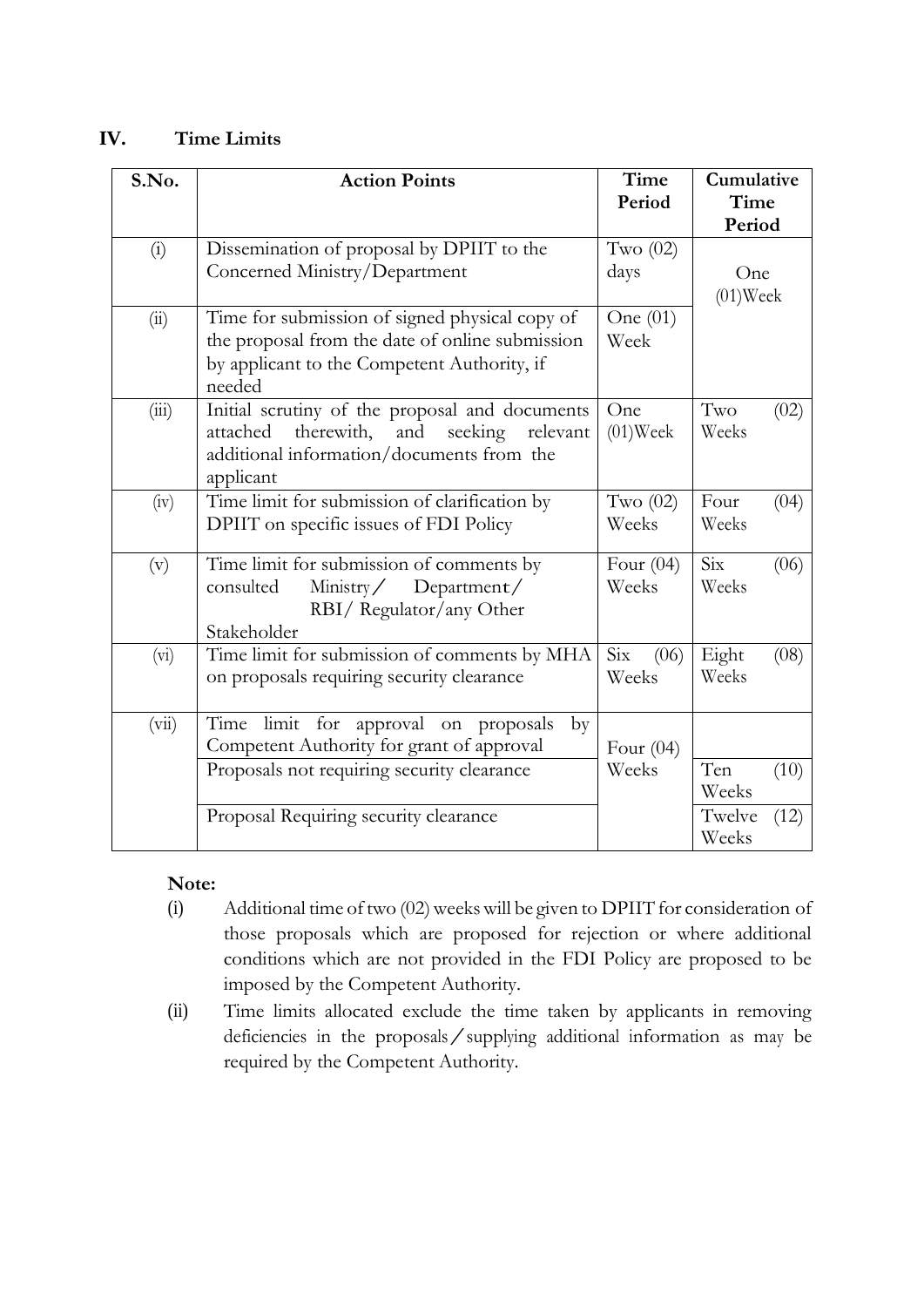## **IV. Time Limits**

| S.No. | <b>Action Points</b>                                                                                                                                             | Time<br>Period       | Cumulative<br>Time<br>Period |
|-------|------------------------------------------------------------------------------------------------------------------------------------------------------------------|----------------------|------------------------------|
| (i)   | Dissemination of proposal by DPIIT to the<br>Concerned Ministry/Department                                                                                       | Two $(02)$<br>days   | One<br>$(01)$ Week           |
| (ii)  | Time for submission of signed physical copy of<br>the proposal from the date of online submission<br>by applicant to the Competent Authority, if<br>needed       | One $(01)$<br>Week   |                              |
| (iii) | Initial scrutiny of the proposal and documents<br>therewith,<br>and<br>seeking<br>attached<br>relevant<br>additional information/documents from the<br>applicant | One<br>$(01)$ Week   | Two<br>(02)<br>Weeks         |
| (iv)  | Time limit for submission of clarification by<br>DPIIT on specific issues of FDI Policy                                                                          | Two $(02)$<br>Weeks  | Four<br>(04)<br>Weeks        |
| (v)   | Time limit for submission of comments by<br>$\text{Ministry}$<br>consulted<br>Department/<br>RBI/ Regulator/any Other<br>Stakeholder                             | Four $(04)$<br>Weeks | Six<br>(06)<br>Weeks         |
| (vi)  | Time limit for submission of comments by MHA<br>on proposals requiring security clearance                                                                        | Six<br>(06)<br>Weeks | Eight<br>(08)<br>Weeks       |
| (vii) | limit for approval on proposals<br>Time<br>$\rm{by}$<br>Competent Authority for grant of approval<br>Proposals not requiring security clearance                  | Four $(04)$<br>Weeks | Ten<br>(10)<br>Weeks         |
|       | Proposal Requiring security clearance                                                                                                                            |                      | Twelve<br>(12)<br>Weeks      |

## **Note:**

- $(i)$  Additional time of two  $(02)$  weeks will be given to DPIIT for consideration of those proposals which are proposed for rejection or where additional conditions which are not provided in the FDI Policy are proposed to be imposed by the Competent Authority.
- (ii) Time limits allocated exclude the time taken by applicants in removing deficiencies in the proposals/supplying additional information as may be required by the Competent Authority.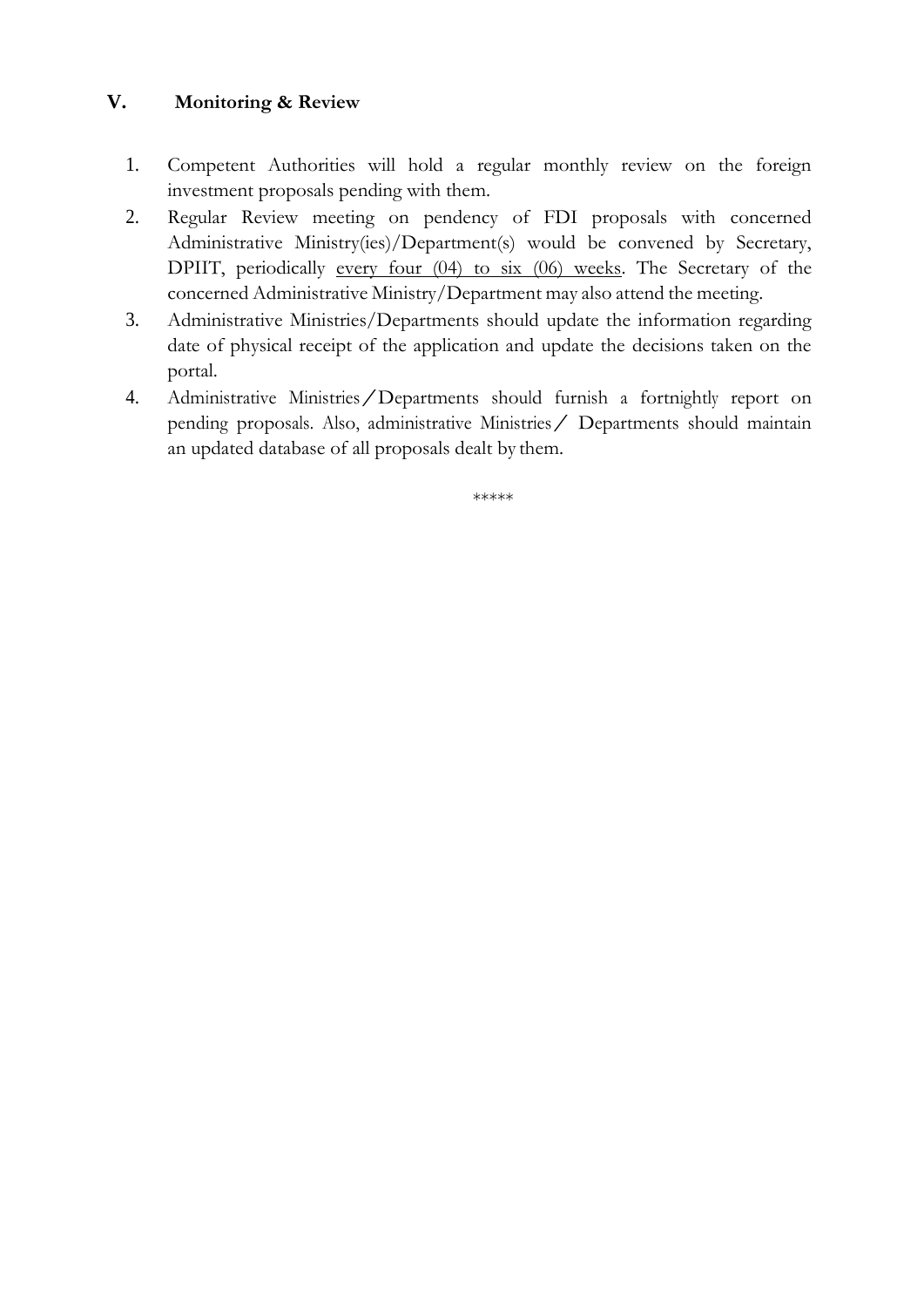## **V. Monitoring & Review**

- 1. Competent Authorities will hold a regular monthly review on the foreign investment proposals pending with them.
- 2. Regular Review meeting on pendency of FDI proposals with concerned Administrative Ministry(ies)/Department(s) would be convened by Secretary, DPIIT, periodically every four (04) to six (06) weeks. The Secretary of the concerned Administrative Ministry/Department may also attend the meeting.
- 3. Administrative Ministries/Departments should update the information regarding date of physical receipt of the application and update the decisions taken on the portal.
- 4. Administrative Ministries/Departments should furnish <sup>a</sup> fortnightly report on pending proposals. Also, administrative Ministries/ Departments should maintain an updated database of all proposals dealt by them.

\*\*\*\*\*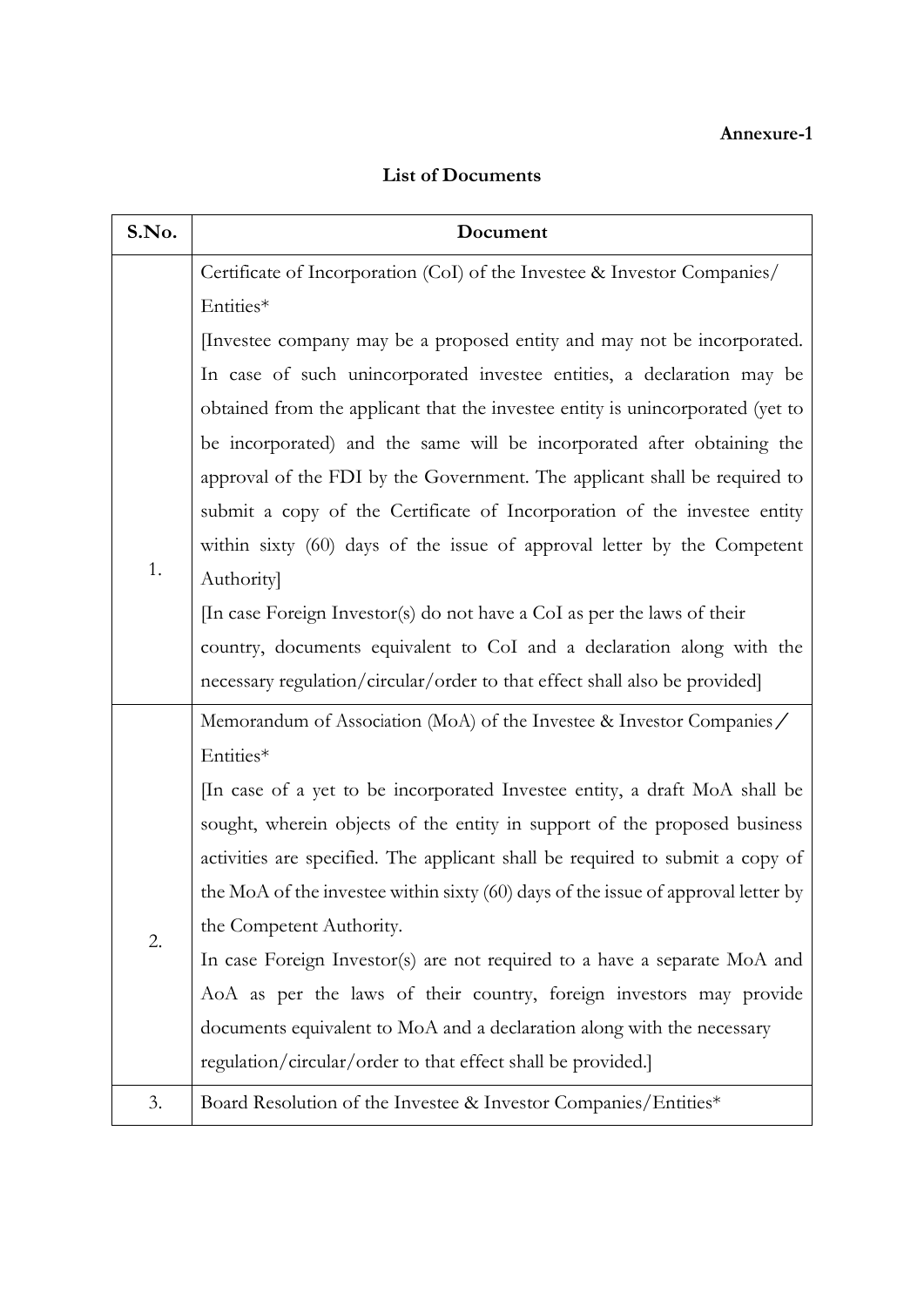## **Annexure-1**

| <b>List of Documents</b> |
|--------------------------|
|                          |

| S.No. | Document                                                                          |  |
|-------|-----------------------------------------------------------------------------------|--|
|       | Certificate of Incorporation (CoI) of the Investee & Investor Companies/          |  |
|       | Entities*                                                                         |  |
|       | Investee company may be a proposed entity and may not be incorporated.            |  |
|       | In case of such unincorporated investee entities, a declaration may be            |  |
|       | obtained from the applicant that the investee entity is unincorporated (yet to    |  |
|       | be incorporated) and the same will be incorporated after obtaining the            |  |
|       | approval of the FDI by the Government. The applicant shall be required to         |  |
|       | submit a copy of the Certificate of Incorporation of the investee entity          |  |
|       | within sixty (60) days of the issue of approval letter by the Competent           |  |
| 1.    | <b>Authority</b>                                                                  |  |
|       | In case Foreign Investor(s) do not have a CoI as per the laws of their            |  |
|       | country, documents equivalent to CoI and a declaration along with the             |  |
|       | necessary regulation/circular/order to that effect shall also be provided]        |  |
|       | Memorandum of Association (MoA) of the Investee & Investor Companies /            |  |
|       | Entities*                                                                         |  |
|       | In case of a yet to be incorporated Investee entity, a draft MoA shall be         |  |
|       | sought, wherein objects of the entity in support of the proposed business         |  |
|       | activities are specified. The applicant shall be required to submit a copy of     |  |
|       | the MoA of the investee within sixty (60) days of the issue of approval letter by |  |
| 2.    | the Competent Authority.                                                          |  |
|       | In case Foreign Investor(s) are not required to a have a separate MoA and         |  |
|       | AoA as per the laws of their country, foreign investors may provide               |  |
|       | documents equivalent to MoA and a declaration along with the necessary            |  |
|       | regulation/circular/order to that effect shall be provided.]                      |  |
| 3.    | Board Resolution of the Investee & Investor Companies/Entities*                   |  |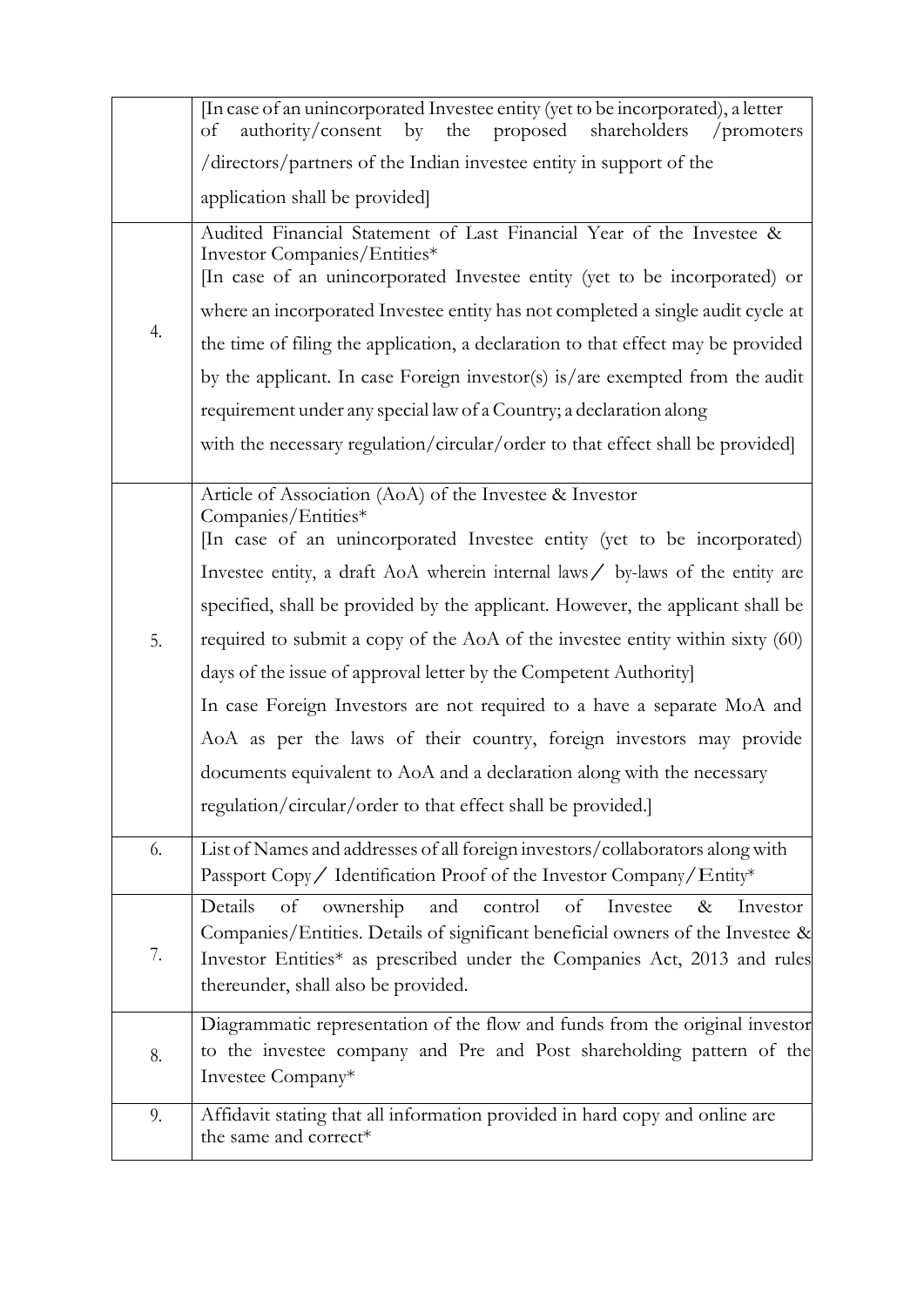|    | In case of an unincorporated Investee entity (yet to be incorporated), a letter                                                                                                                                                                                                         |
|----|-----------------------------------------------------------------------------------------------------------------------------------------------------------------------------------------------------------------------------------------------------------------------------------------|
|    | authority/consent<br>by the<br>shareholders<br>proposed<br>of<br>/promoters                                                                                                                                                                                                             |
|    | /directors/partners of the Indian investee entity in support of the                                                                                                                                                                                                                     |
|    | application shall be provided]                                                                                                                                                                                                                                                          |
|    | Audited Financial Statement of Last Financial Year of the Investee &<br>Investor Companies/Entities*<br>In case of an unincorporated Investee entity (yet to be incorporated) or<br>where an incorporated Investee entity has not completed a single audit cycle at                     |
| 4. |                                                                                                                                                                                                                                                                                         |
|    | the time of filing the application, a declaration to that effect may be provided                                                                                                                                                                                                        |
|    | by the applicant. In case Foreign investor(s) is/are exempted from the audit                                                                                                                                                                                                            |
|    | requirement under any special law of a Country; a declaration along                                                                                                                                                                                                                     |
|    | with the necessary regulation/circular/order to that effect shall be provided]                                                                                                                                                                                                          |
|    | Article of Association (AoA) of the Investee & Investor<br>Companies/Entities*<br>In case of an unincorporated Investee entity (yet to be incorporated)                                                                                                                                 |
|    | Investee entity, a draft AoA wherein internal laws / by-laws of the entity are                                                                                                                                                                                                          |
|    | specified, shall be provided by the applicant. However, the applicant shall be                                                                                                                                                                                                          |
| 5. | required to submit a copy of the AoA of the investee entity within sixty (60)                                                                                                                                                                                                           |
|    | days of the issue of approval letter by the Competent Authority]                                                                                                                                                                                                                        |
|    | In case Foreign Investors are not required to a have a separate MoA and                                                                                                                                                                                                                 |
|    | AoA as per the laws of their country, foreign investors may provide                                                                                                                                                                                                                     |
|    | documents equivalent to AoA and a declaration along with the necessary                                                                                                                                                                                                                  |
|    | regulation/circular/order to that effect shall be provided.]                                                                                                                                                                                                                            |
| 6. | List of Names and addresses of all foreign investors/collaborators along with<br>Passport Copy / Identification Proof of the Investor Company/Entity*                                                                                                                                   |
| 7. | of<br>and<br>control<br>of<br>Investee<br>Details<br>ownership<br>$\&$<br>Investor<br>Companies/Entities. Details of significant beneficial owners of the Investee &<br>Investor Entities* as prescribed under the Companies Act, 2013 and rules<br>thereunder, shall also be provided. |
| 8. | Diagrammatic representation of the flow and funds from the original investor<br>to the investee company and Pre and Post shareholding pattern of the<br>Investee Company*                                                                                                               |
| 9. | Affidavit stating that all information provided in hard copy and online are<br>the same and correct*                                                                                                                                                                                    |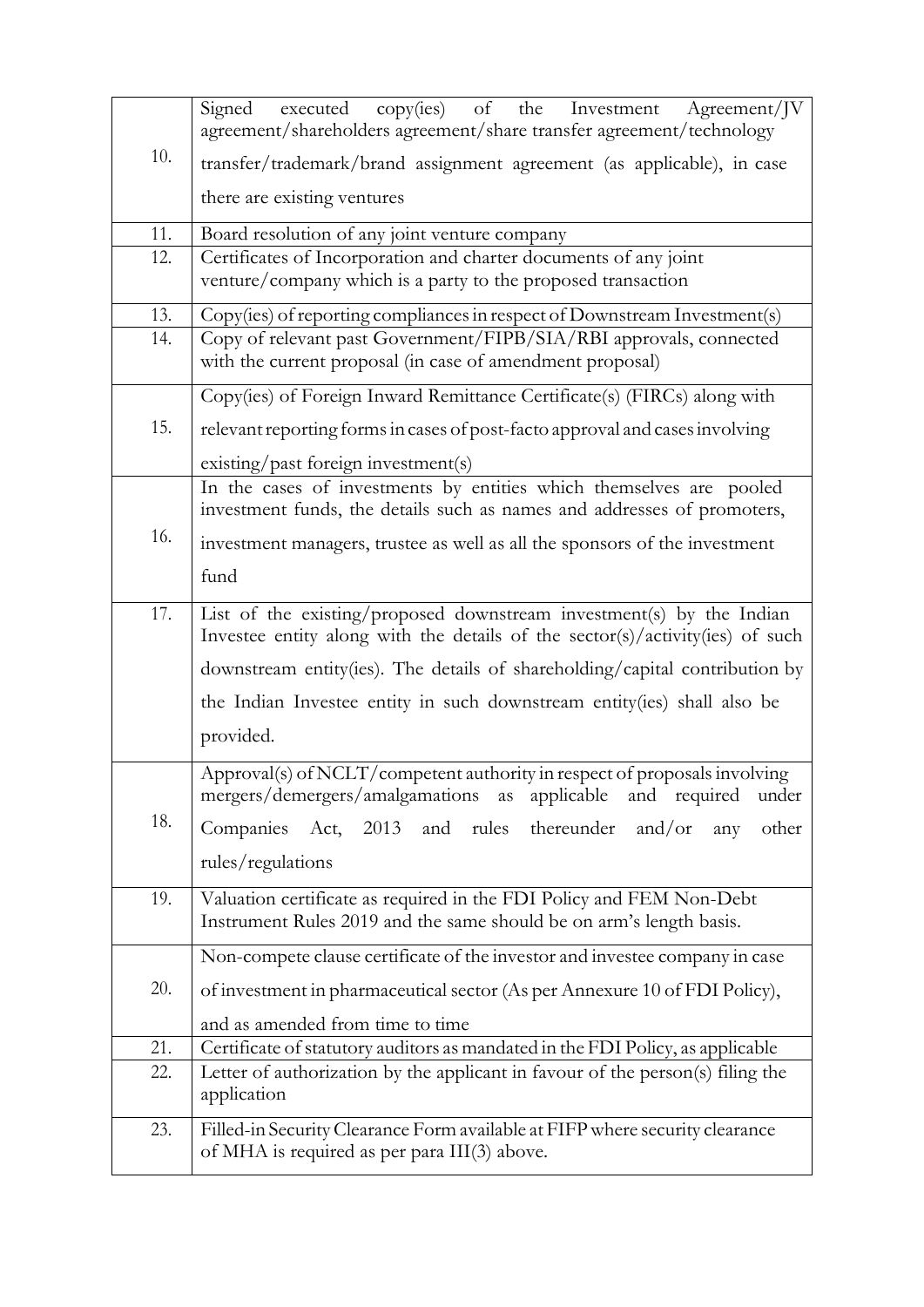|     | Signed<br>executed copy(ies) of the Investment<br>Agreement/JV<br>agreement/shareholders agreement/share transfer agreement/technology                 |  |
|-----|--------------------------------------------------------------------------------------------------------------------------------------------------------|--|
| 10. | transfer/trademark/brand assignment agreement (as applicable), in case                                                                                 |  |
|     | there are existing ventures                                                                                                                            |  |
| 11. | Board resolution of any joint venture company                                                                                                          |  |
| 12. | Certificates of Incorporation and charter documents of any joint                                                                                       |  |
|     | venture/company which is a party to the proposed transaction                                                                                           |  |
| 13. | Copy(ies) of reporting compliances in respect of Downstream Investment(s)                                                                              |  |
| 14. | Copy of relevant past Government/FIPB/SIA/RBI approvals, connected<br>with the current proposal (in case of amendment proposal)                        |  |
|     | Copy(ies) of Foreign Inward Remittance Certificate(s) (FIRCs) along with                                                                               |  |
| 15. | relevant reporting forms in cases of post-facto approval and cases involving                                                                           |  |
|     | existing/past foreign investment(s)                                                                                                                    |  |
|     | In the cases of investments by entities which themselves are pooled                                                                                    |  |
|     | investment funds, the details such as names and addresses of promoters,                                                                                |  |
| 16. | investment managers, trustee as well as all the sponsors of the investment                                                                             |  |
|     | fund                                                                                                                                                   |  |
| 17. | List of the existing/proposed downstream investment(s) by the Indian<br>Investee entity along with the details of the sector(s)/activity(ies) of such  |  |
|     | downstream entity(ies). The details of shareholding/capital contribution by                                                                            |  |
|     | the Indian Investee entity in such downstream entity(ies) shall also be                                                                                |  |
|     | provided.                                                                                                                                              |  |
|     | Approval(s) of NCLT/competent authority in respect of proposals involving<br>mergers/demergers/amalgamations as<br>applicable<br>and required<br>under |  |
| 18. | Companies Act, 2013 and rules<br>thereunder<br>and/or<br>other<br>any                                                                                  |  |
|     | rules/regulations                                                                                                                                      |  |
| 19. |                                                                                                                                                        |  |
|     | Valuation certificate as required in the FDI Policy and FEM Non-Debt<br>Instrument Rules 2019 and the same should be on arm's length basis.            |  |
|     | Non-compete clause certificate of the investor and investee company in case                                                                            |  |
| 20. | of investment in pharmaceutical sector (As per Annexure 10 of FDI Policy),                                                                             |  |
|     | and as amended from time to time                                                                                                                       |  |
| 21. | Certificate of statutory auditors as mandated in the FDI Policy, as applicable                                                                         |  |
| 22. | Letter of authorization by the applicant in favour of the person(s) filing the<br>application                                                          |  |
| 23. | Filled-in Security Clearance Form available at FIFP where security clearance                                                                           |  |
|     | of MHA is required as per para III(3) above.                                                                                                           |  |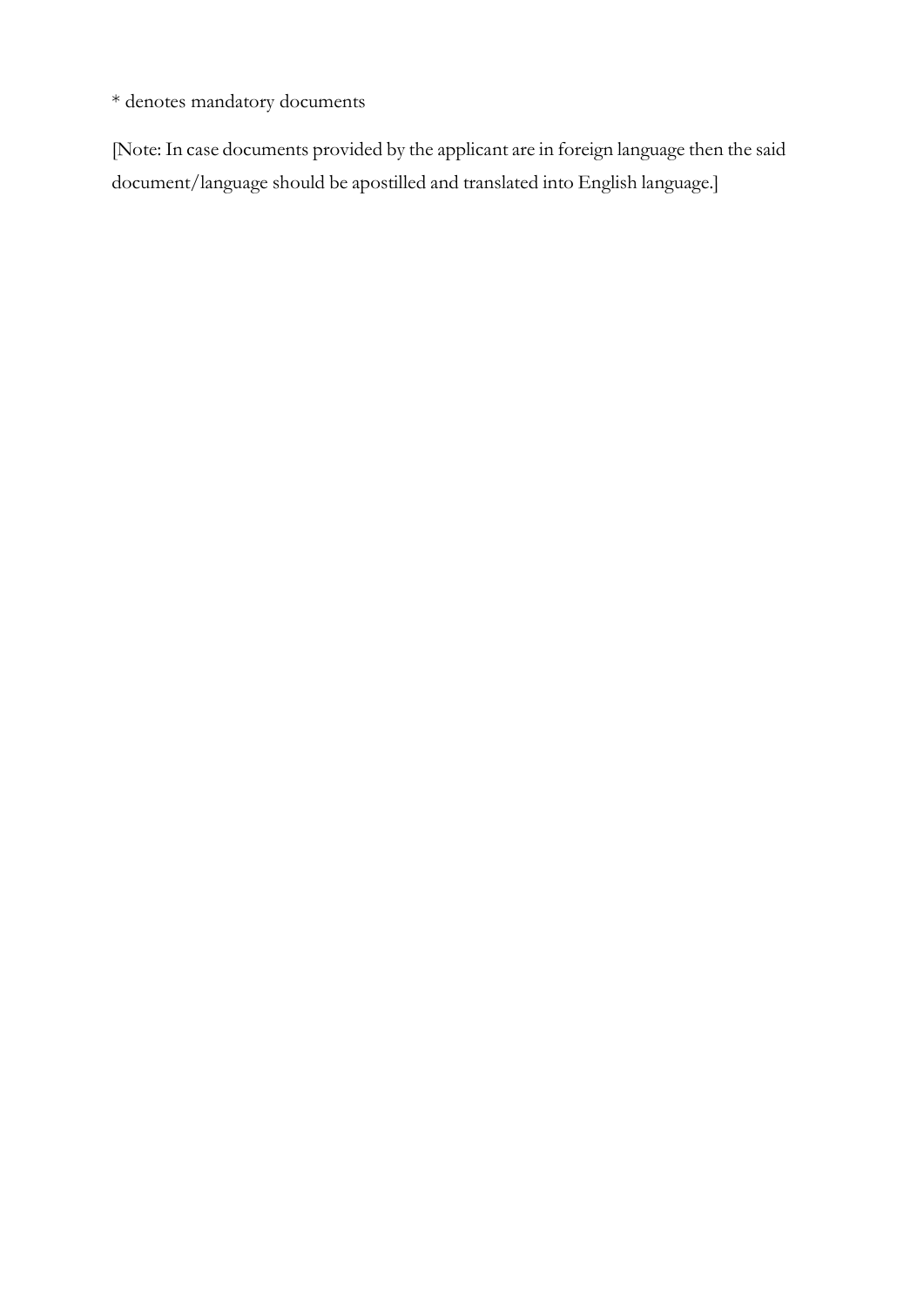\* denotes mandatory documents

[Note: In case documents provided by the applicant are in foreign language then the said document/language should be apostilled and translated into English language.]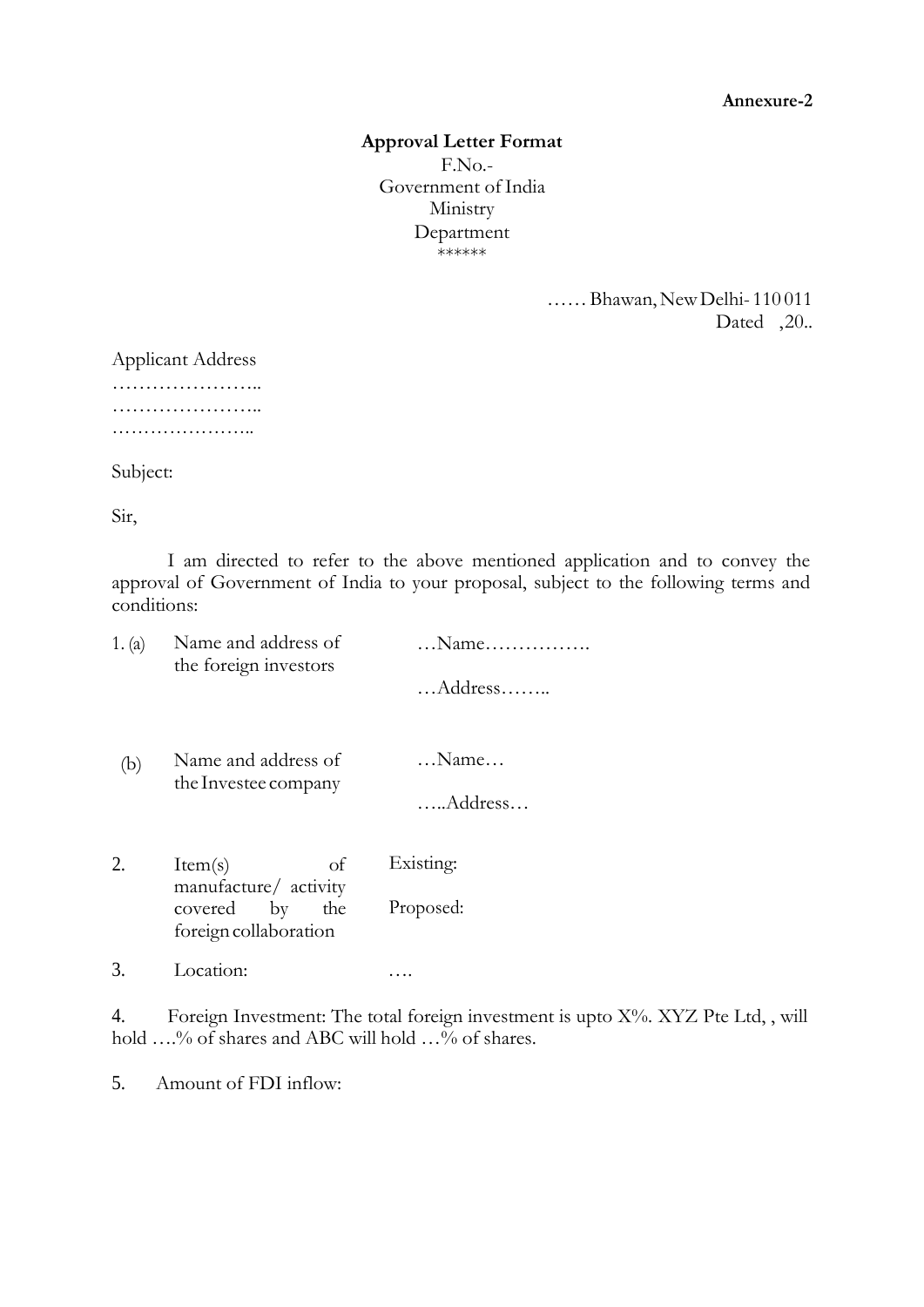#### **Annexure-2**

### **Approval Letter Format** F.No.- Government of India Ministry Department \*\*\*\*\*\*

……Bhawan,NewDelhi- 110 011 Dated ,20..

Applicant Address ………………………… ………………….. ………………………

Subject:

Sir,

I am directed to refer to the above mentioned application and to convey the approval of Government of India to your proposal, subject to the following terms and conditions:

| 1. (a) | Name and address of<br>the foreign investors                                                    | $\dots$ Name $\dots\dots\dots\dots\dots$<br>$$ Address |
|--------|-------------------------------------------------------------------------------------------------|--------------------------------------------------------|
| (b)    | Name and address of<br>the Investee company                                                     | $\ldots$ Name $\ldots$<br>Address                      |
| 2.     | <sub>of</sub><br>Item(s)<br>manufacture/ activity<br>covered by<br>the<br>foreign collaboration | Existing:<br>Proposed:                                 |
|        | Location:                                                                                       |                                                        |

4. Foreign Investment: The total foreign investment is upto X%. XYZ Pte Ltd,, will hold ....% of shares and ABC will hold ...% of shares.

5. Amount of FDI inflow: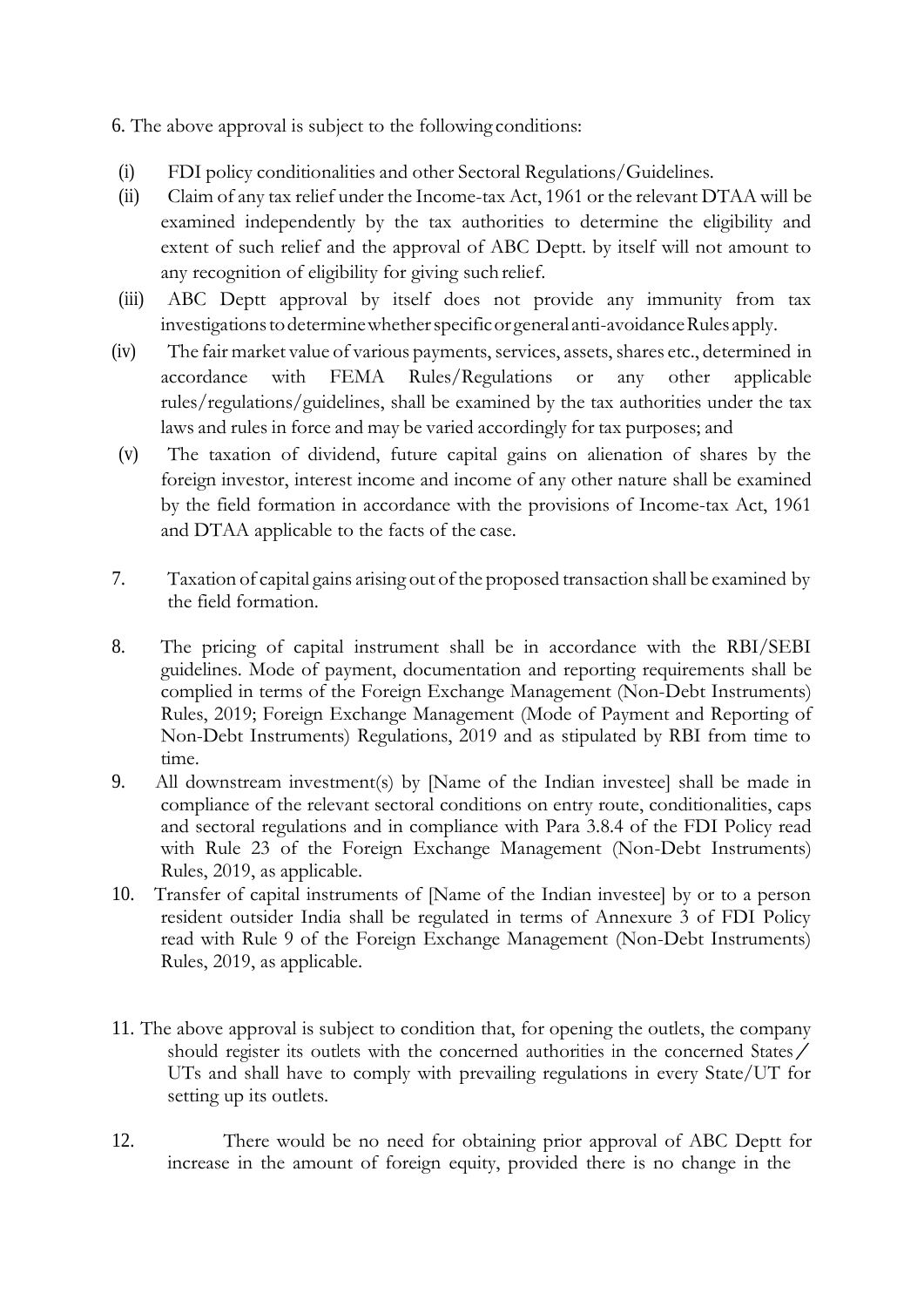6. The above approval is subject to the following conditions:

- (i) FDI policy conditionalities and other Sectoral Regulations/Guidelines.
- (ii) Claim of any tax relief under the Income-tax Act, 1961 or the relevant DTAA will be examined independently by the tax authorities to determine the eligibility and extent of such relief and the approval of ABC Deptt. by itself will not amount to any recognition of eligibility for giving suchrelief.
- (iii) ABC Deptt approval by itself does not provide any immunity from tax investigations to determine whether specific or general anti-avoidance Rules apply.
- (iv) The fair market value of various payments, services, assets, shares etc., determined in accordance with FEMA Rules/Regulations or any other applicable rules/regulations/guidelines, shall be examined by the tax authorities under the tax laws and rules in force and may be varied accordingly for tax purposes; and
- (v) The taxation of dividend, future capital gains on alienation of shares by the foreign investor, interest income and income of any other nature shall be examined by the field formation in accordance with the provisions of Income-tax Act, 1961 and DTAA applicable to the facts of the case.
- 7. Taxation of capital gains arising out of the proposed transaction shall be examined by the field formation.
- 8. The pricing of capital instrument shall be in accordance with the RBI/SEBI guidelines. Mode of payment, documentation and reporting requirements shall be complied in terms of the Foreign Exchange Management (Non-Debt Instruments) Rules, 2019; Foreign Exchange Management (Mode of Payment and Reporting of Non-Debt Instruments) Regulations, 2019 and as stipulated by RBI from time to time.
- 9. All downstream investment(s) by [Name of the Indian investee] shall be made in compliance of the relevant sectoral conditions on entry route, conditionalities, caps and sectoral regulations and in compliance with Para 3.8.4 of the FDI Policy read with Rule 23 of the Foreign Exchange Management (Non-Debt Instruments) Rules, 2019, as applicable.
- 10. Transfer of capital instruments of [Name of the Indian investee] by or to a person resident outsider India shall be regulated in terms of Annexure 3 of FDI Policy read with Rule 9 of the Foreign Exchange Management (Non-Debt Instruments) Rules, 2019, as applicable.
- 11. The above approval is subject to condition that, for opening the outlets, the company should register its outlets with the concerned authorities in the concerned States / UTs and shall have to comply with prevailing regulations in every State/UT for setting up its outlets.
- 12. There would be no need for obtaining prior approval of ABC Deptt for increase in the amount of foreign equity, provided there is no change in the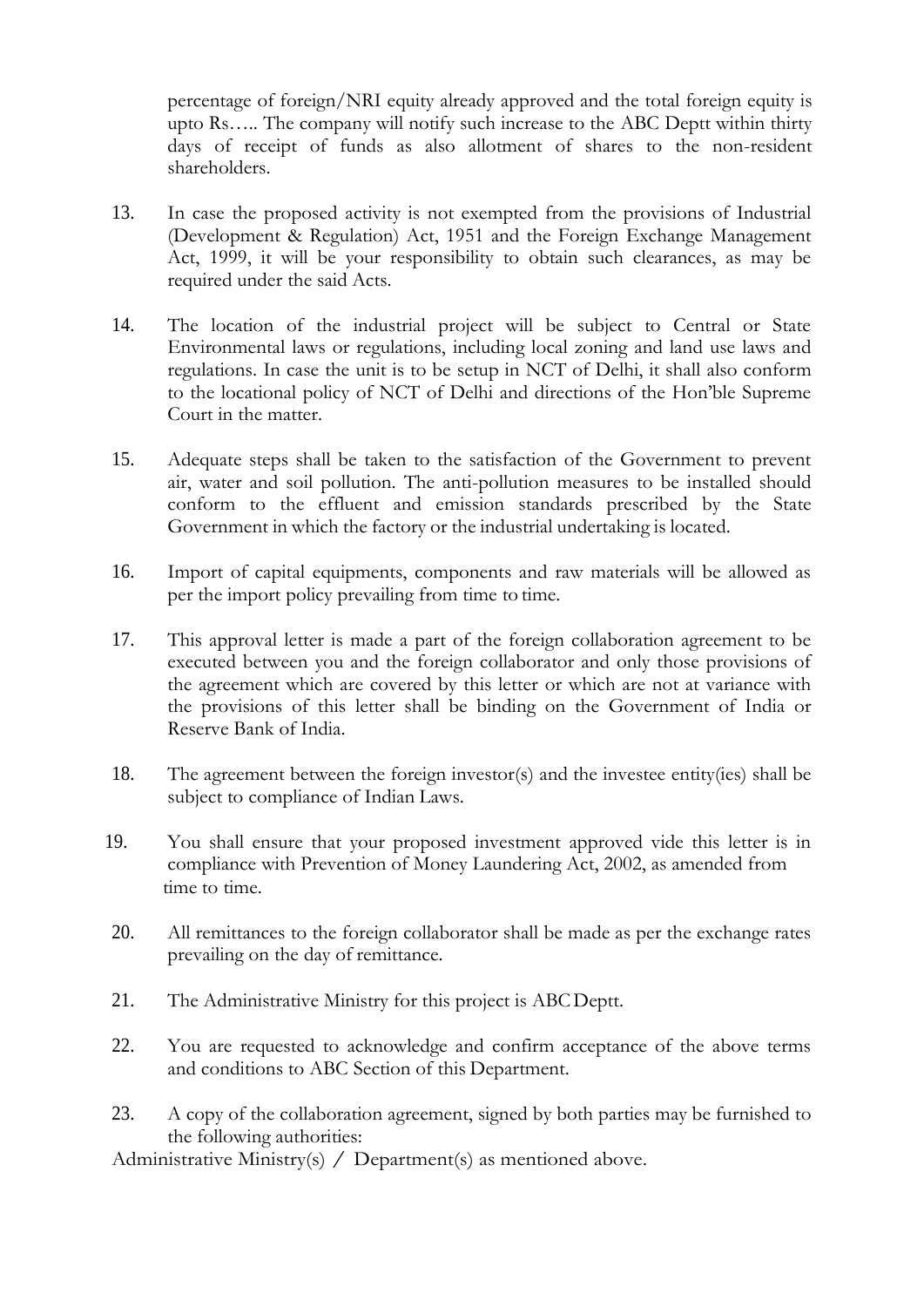percentage of foreign/NRI equity already approved and the total foreign equity is upto Rs….. The company will notify such increase to the ABC Deptt within thirty days of receipt of funds as also allotment of shares to the non-resident shareholders.

- 13. In case the proposed activity is not exempted from the provisions of Industrial (Development & Regulation) Act, 1951 and the Foreign Exchange Management Act, 1999, it will be your responsibility to obtain such clearances, as may be required under the said Acts.
- 14. The location of the industrial project will be subject to Central or State Environmental laws or regulations, including local zoning and land use laws and regulations. In case the unit is to be setup in NCT of Delhi, it shall also conform to the locational policy of NCT of Delhi and directions of the Hon'ble Supreme Court in the matter.
- 15. Adequate steps shall be taken to the satisfaction of the Government to prevent air, water and soil pollution. The anti-pollution measures to be installed should conform to the effluent and emission standards prescribed by the State Government in which the factory or the industrial undertaking is located.
- 16. Import of capital equipments, components and raw materials will be allowed as per the import policy prevailing from time to time.
- 17. This approval letter is made a part of the foreign collaboration agreement to be executed between you and the foreign collaborator and only those provisions of the agreement which are covered by this letter or which are not at variance with the provisions of this letter shall be binding on the Government of India or Reserve Bank of India.
- 18. The agreement between the foreign investor(s) and the investee entity(ies) shall be subject to compliance of Indian Laws.
- 19. You shall ensure that your proposed investment approved vide this letter is in compliance with Prevention of Money Laundering Act, 2002, as amended from time to time.
- 20. All remittances to the foreign collaborator shall be made as per the exchange rates prevailing on the day of remittance.
- 21. The Administrative Ministry for this project is ABCDeptt.
- 22. You are requested to acknowledge and confirm acceptance of the above terms and conditions to ABC Section of this Department.
- 23. A copy of the collaboration agreement, signed by both parties may be furnished to the following authorities:

Administrative Ministry(s) / Department(s) as mentioned above.